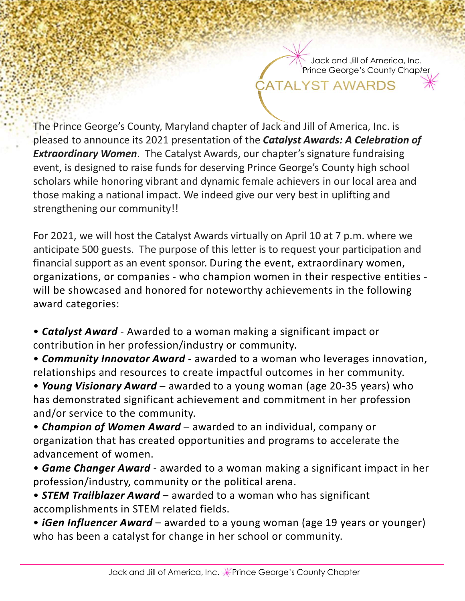Jack and Jill of America, Inc. Prince George's County Chapter

The Prince George's County, Maryland chapter of Jack and Jill of America, Inc. is pleased to announce its 2021 presentation of the Catalyst Awards: A Celebration of **Extraordinary Women.** The Catalyst Awards, our chapter's signature fundraising event, is designed to raise funds for deserving Prince George's County high school scholars while honoring vibrant and dynamic female achievers in our local area and those making a national impact. We indeed give our very best in uplifting and strengthening our community!! The Prince George's County, Maryland chapter of Jack and Jill of America, Inc. is<br>The Prince George's County, Maryland chapter of Local and Jill of America, Inc. is<br>Extraordinary Women. The Catalyst Awards, our chapter's s

For 2021, we will host the Catalyst Awards virtually on April 10 at 7 p.m. where we anticipate 500 guests. The purpose of this letter is to request your participation and financial support as an event sponsor. During the event, extraordinary women, will be showcased and honored for noteworthy achievements in the following award categories: Feasta to a muonte is 2001 peesenation of the cuturys Awards. A centurity extraordinary Women. The Catalyst Awards, our chapter's signature fundraising<br>event, is designed to raise funds for deserving Prince George's County ethering anatomating we modes give our very best in uplining and<br>
for 2021, we will host the Catalyst Awards virtually on April 10 at 7 p.m. where we<br>
financial support as an event sponsor. During the event, extraordinary For excast, we wim fost the catalyys Awards virtually on Apple 20 and point and ticipate 500 guests. The purpose of this letter is to request your participation and financial support as an event sponsor. During the event,

contribution in her profession/industry or community.

• **Community Innovator Award** - awarded to a woman who leverages innovation, relationships and resources to create impactful outcomes in her community.

has demonstrated significant achievement and commitment in her profession and/or service to the community. • Catalyst Award - Awarded to a woman making a significant impact or<br>
contribution in her profession/industry or community.<br>
• Community Innovator Award - awarded to a woman who leverages innovation,<br>
relationships and res • **Courty: • weard to a** woman measure and the morthinum and the profession in the profession industry or community.<br>• **Community Innovator Award** - awarded to a woman who leverages innovation, relationships and resource

organization that has created opportunities and programs to accelerate the advancement of women.

• Game Changer Award - awarded to a woman making a significant impact in her profession/industry, community or the political arena.

accomplishments in STEM related fields.

who has been a catalyst for change in her school or community.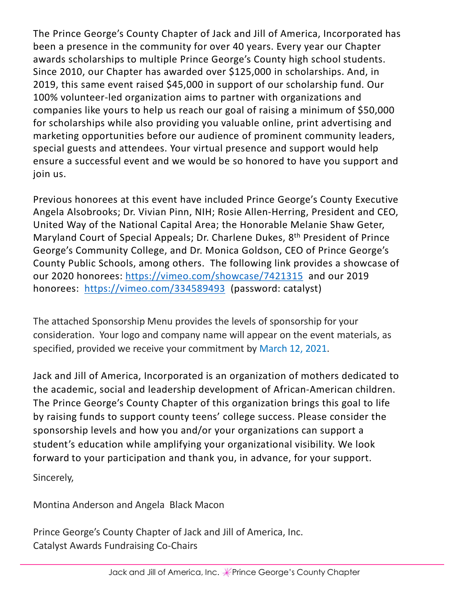The Prince George's County Chapter of Jack and Jill of America, Incorporated has been a presence in the community for over 40 years. Every year our Chapter awards scholarships to multiple Prince George's County high school students. Since 2010, our Chapter has awarded over \$125,000 in scholarships. And, in 2019, this same event raised \$45,000 in support of our scholarship fund. Our 100% volunteer-led organization aims to partner with organizations and companies like yours to help us reach our goal of raising a minimum of \$50,000 for scholarships while also providing you valuable online, print advertising and marketing opportunities before our audience of prominent community leaders, special guests and attendees. Your virtual presence and support would help ensure a successful event and we would be so honored to have you support and join us.

Previous honorees at this event have included Prince George's County Executive Angela Alsobrooks; Dr. Vivian Pinn, NIH; Rosie Allen-Herring, President and CEO, United Way of the National Capital Area; the Honorable Melanie Shaw Geter, Maryland Court of Special Appeals; Dr. Charlene Dukes, 8th President of Prince George's Community College, and Dr. Monica Goldson, CEO of Prince George's County Public Schools, among others. The following link provides a showcase of our 2020 honorees: https://vimeo.com/showcase/7421315 and our 2019 honorees: https://vimeo.com/334589493 (password: catalyst)

The attached Sponsorship Menu provides the levels of sponsorship for your consideration. Your logo and company name will appear on the event materials, as specified, provided we receive your commitment by March 12, 2021.

Jack and Jill of America, Incorporated is an organization of mothers dedicated to the academic, social and leadership development of African-American children. The Prince George's County Chapter of this organization brings this goal to life by raising funds to support county teens' college success. Please consider the sponsorship levels and how you and/or your organizations can support a student's education while amplifying your organizational visibility. We look forward to your participation and thank you, in advance, for your support. The attached Sponsorship Menu provides the levels of sponsorship for yo consideration. Your logo and company name will appear on the event ma<br>specified, provided we receive your commitment by March 12, 2021.<br>Jack and Jill

Sincerely,

Prince George's County Chapter of Jack and Jill of America, Inc. Catalyst Awards Fundraising Co-Chairs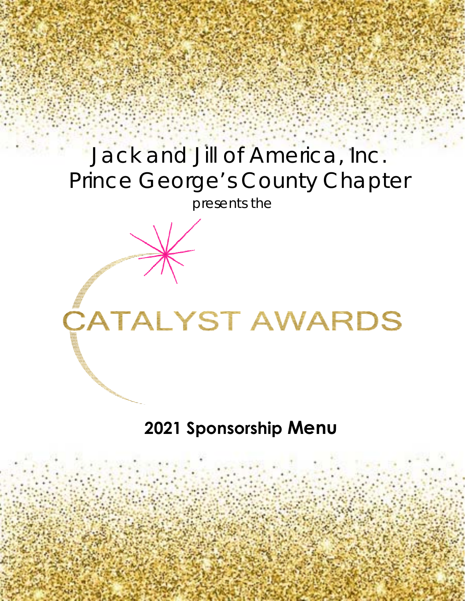## Jack and Jill of America, Inc. Prince George's County Chapter

presents the

# **CATALYST AWARDS**

### **2021 Sponsorship Menu**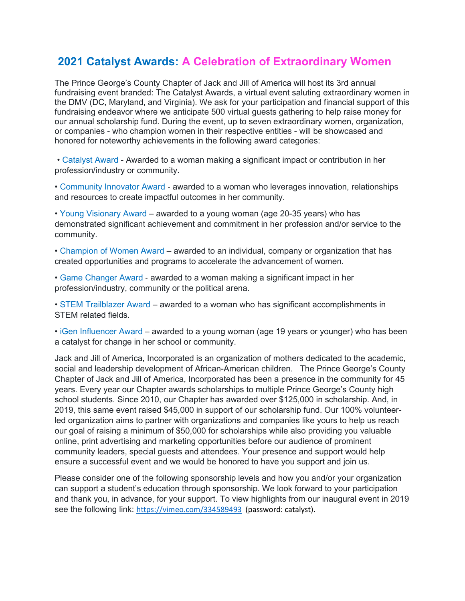#### **2021 Catalyst Awards: A Celebration of Extraordinary Women**

The Prince George's County Chapter of Jack and Jill of America will host its 3rd annual fundraising event branded: The Catalyst Awards, a virtual event saluting extraordinary women in the DMV (DC, Maryland, and Virginia). We ask for your participation and financial support of this fundraising endeavor where we anticipate 500 virtual guests gathering to help raise money for our annual scholarship fund. During the event, up to seven extraordinary women, organization, or companies - who champion women in their respective entities - will be showcased and honored for noteworthy achievements in the following award categories:

• Catalyst Award - Awarded to a woman making a significant impact or contribution in her profession/industry or community.

• Community Innovator Award ‐ awarded to a woman who leverages innovation, relationships and resources to create impactful outcomes in her community.

• Young Visionary Award – awarded to a young woman (age 20-35 years) who has demonstrated significant achievement and commitment in her profession and/or service to the community.

• Champion of Women Award – awarded to an individual, company or organization that has created opportunities and programs to accelerate the advancement of women.

• Game Changer Award ‐ awarded to a woman making a significant impact in her profession/industry, community or the political arena.

• STEM Trailblazer Award – awarded to a woman who has significant accomplishments in STEM related fields.

• iGen Influencer Award – awarded to a young woman (age 19 years or younger) who has been a catalyst for change in her school or community.

Jack and Jill of America, Incorporated is an organization of mothers dedicated to the academic, social and leadership development of African-American children. The Prince George's County Chapter of Jack and Jill of America, Incorporated has been a presence in the community for 45 years. Every year our Chapter awards scholarships to multiple Prince George's County high school students. Since 2010, our Chapter has awarded over \$125,000 in scholarship. And, in 2019, this same event raised \$45,000 in support of our scholarship fund. Our 100% volunteerled organization aims to partner with organizations and companies like yours to help us reach our goal of raising a minimum of \$50,000 for scholarships while also providing you valuable online, print advertising and marketing opportunities before our audience of prominent community leaders, special guests and attendees. Your presence and support would help ensure a successful event and we would be honored to have you support and join us.

Please consider one of the following sponsorship levels and how you and/or your organization can support a student's education through sponsorship. We look forward to your participation and thank you, in advance, for your support. To view highlights from our inaugural event in 2019 see the following link: <https://vimeo.com/334589493>(password: catalyst).